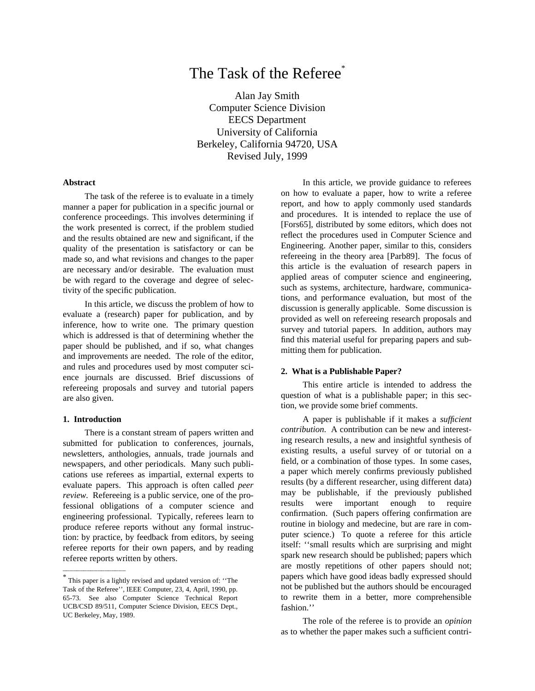# The Task of the Referee<sup>\*</sup>

Alan Jay Smith Computer Science Division EECS Department University of California Berkeley, California 94720, USA Revised July, 1999

# **Abstract**

The task of the referee is to evaluate in a timely manner a paper for publication in a specific journal or conference proceedings. This involves determining if the work presented is correct, if the problem studied and the results obtained are new and significant, if the quality of the presentation is satisfactory or can be made so, and what revisions and changes to the paper are necessary and/or desirable. The evaluation must be with regard to the coverage and degree of selectivity of the specific publication.

In this article, we discuss the problem of how to evaluate a (research) paper for publication, and by inference, how to write one. The primary question which is addressed is that of determining whether the paper should be published, and if so, what changes and improvements are needed. The role of the editor, and rules and procedures used by most computer science journals are discussed. Brief discussions of refereeing proposals and survey and tutorial papers are also given.

#### **1. Introduction**

There is a constant stream of papers written and submitted for publication to conferences, journals, newsletters, anthologies, annuals, trade journals and newspapers, and other periodicals. Many such publications use referees as impartial, external experts to evaluate papers. This approach is often called *peer review.* Refereeing is a public service, one of the professional obligations of a computer science and engineering professional. Typically, referees learn to produce referee reports without any formal instruction: by practice, by feedback from editors, by seeing referee reports for their own papers, and by reading referee reports written by others.

In this article, we provide guidance to referees on how to evaluate a paper, how to write a referee report, and how to apply commonly used standards and procedures. It is intended to replace the use of [Fors65], distributed by some editors, which does not reflect the procedures used in Computer Science and Engineering. Another paper, similar to this, considers refereeing in the theory area [Parb89]. The focus of this article is the evaluation of research papers in applied areas of computer science and engineering, such as systems, architecture, hardware, communications, and performance evaluation, but most of the discussion is generally applicable. Some discussion is provided as well on refereeing research proposals and survey and tutorial papers. In addition, authors may find this material useful for preparing papers and submitting them for publication.

## **2. What is a Publishable Paper?**

This entire article is intended to address the question of what is a publishable paper; in this section, we provide some brief comments.

A paper is publishable if it makes a *sufficient contribution*. A contribution can be new and interesting research results, a new and insightful synthesis of existing results, a useful survey of or tutorial on a field, or a combination of those types. In some cases, a paper which merely confirms previously published results (by a different researcher, using different data) may be publishable, if the previously published results were important enough to require confirmation. (Such papers offering confirmation are routine in biology and medecine, but are rare in computer science.) To quote a referee for this article itself: ''small results which are surprising and might spark new research should be published; papers which are mostly repetitions of other papers should not; papers which have good ideas badly expressed should not be published but the authors should be encouraged to rewrite them in a better, more comprehensible fashion.''

The role of the referee is to provide an *opinion* as to whether the paper makes such a sufficient contri-

<sup>\*</sup> This paper is a lightly revised and updated version of: ''The Task of the Referee'', IEEE Computer, 23, 4, April, 1990, pp. 65-73. See also Computer Science Technical Report UCB/CSD 89/511, Computer Science Division, EECS Dept., UC Berkeley, May, 1989.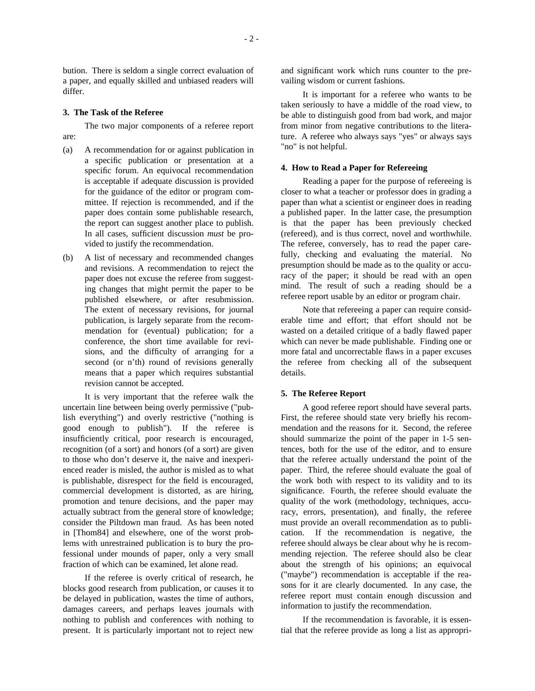bution. There is seldom a single correct evaluation of a paper, and equally skilled and unbiased readers will differ.

#### **3. The Task of the Referee**

The two major components of a referee report are:

- (a) A recommendation for or against publication in a specific publication or presentation at a specific forum. An equivocal recommendation is acceptable if adequate discussion is provided for the guidance of the editor or program committee. If rejection is recommended, and if the paper does contain some publishable research, the report can suggest another place to publish. In all cases, sufficient discussion *must* be provided to justify the recommendation.
- (b) A list of necessary and recommended changes and revisions. A recommendation to reject the paper does not excuse the referee from suggesting changes that might permit the paper to be published elsewhere, or after resubmission. The extent of necessary revisions, for journal publication, is largely separate from the recommendation for (eventual) publication; for a conference, the short time available for revisions, and the difficulty of arranging for a second (or n'th) round of revisions generally means that a paper which requires substantial revision cannot be accepted.

It is very important that the referee walk the uncertain line between being overly permissive ("publish everything") and overly restrictive ("nothing is good enough to publish"). If the referee is insufficiently critical, poor research is encouraged, recognition (of a sort) and honors (of a sort) are given to those who don't deserve it, the naive and inexperienced reader is misled, the author is misled as to what is publishable, disrespect for the field is encouraged, commercial development is distorted, as are hiring, promotion and tenure decisions, and the paper may actually subtract from the general store of knowledge; consider the Piltdown man fraud. As has been noted in [Thom84] and elsewhere, one of the worst problems with unrestrained publication is to bury the professional under mounds of paper, only a very small fraction of which can be examined, let alone read.

If the referee is overly critical of research, he blocks good research from publication, or causes it to be delayed in publication, wastes the time of authors, damages careers, and perhaps leaves journals with nothing to publish and conferences with nothing to present. It is particularly important not to reject new

and significant work which runs counter to the prevailing wisdom or current fashions.

It is important for a referee who wants to be taken seriously to have a middle of the road view, to be able to distinguish good from bad work, and major from minor from negative contributions to the literature. A referee who always says "yes" or always says "no" is not helpful.

## **4. How to Read a Paper for Refereeing**

Reading a paper for the purpose of refereeing is closer to what a teacher or professor does in grading a paper than what a scientist or engineer does in reading a published paper. In the latter case, the presumption is that the paper has been previously checked (refereed), and is thus correct, novel and worthwhile. The referee, conversely, has to read the paper carefully, checking and evaluating the material. No presumption should be made as to the quality or accuracy of the paper; it should be read with an open mind. The result of such a reading should be a referee report usable by an editor or program chair.

Note that refereeing a paper can require considerable time and effort; that effort should not be wasted on a detailed critique of a badly flawed paper which can never be made publishable. Finding one or more fatal and uncorrectable flaws in a paper excuses the referee from checking all of the subsequent details.

## **5. The Referee Report**

A good referee report should have several parts. First, the referee should state very briefly his recommendation and the reasons for it. Second, the referee should summarize the point of the paper in 1-5 sentences, both for the use of the editor, and to ensure that the referee actually understand the point of the paper. Third, the referee should evaluate the goal of the work both with respect to its validity and to its significance. Fourth, the referee should evaluate the quality of the work (methodology, techniques, accuracy, errors, presentation), and finally, the referee must provide an overall recommendation as to publication. If the recommendation is negative, the referee should always be clear about why he is recommending rejection. The referee should also be clear about the strength of his opinions; an equivocal ("maybe") recommendation is acceptable if the reasons for it are clearly documented. In any case, the referee report must contain enough discussion and information to justify the recommendation.

If the recommendation is favorable, it is essential that the referee provide as long a list as appropri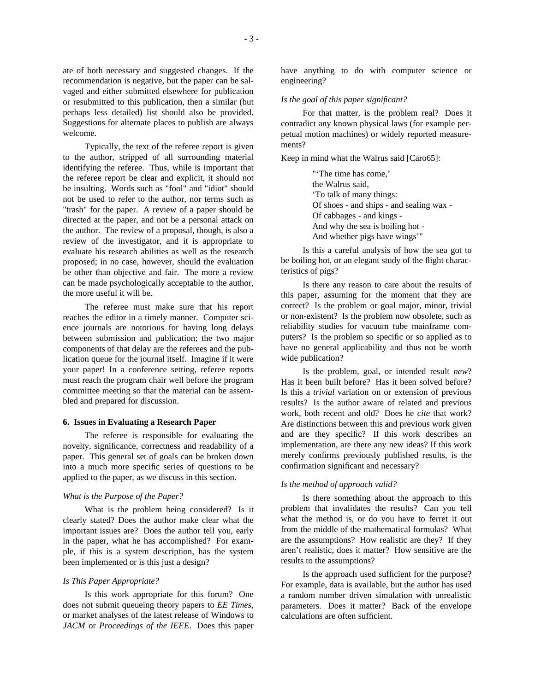ate of both necessary and suggested changes. If the recommendation is negative, but the paper can be salvaged and either submitted elsewhere for publication or resubmitted to this publication, then a similar (but perhaps less detailed) list should also be provided. Suggestions for alternate places to publish are always welcome.

Typically, the text of the referee report is given to the author, stripped of all surrounding material identifying the referee. Thus, while is important that the referee report be clear and explicit, it should not be insulting. Words such as "fool" and "idiot" should not be used to refer to the author, nor terms such as "trash" for the paper. A review of a paper should be directed at the paper, and not be a personal attack on the author. The review of a proposal, though, is also a review of the investigator, and it is appropriate to evaluate his research abilities as well as the research proposed; in no case, however, should the evaluation be other than objective and fair. The more a review can be made psychologically acceptable to the author, the more useful it will be.

The referee must make sure that his report reaches the editor in a timely manner. Computer science journals are notorious for having long delays between submission and publication; the two major components of that delay are the referees and the publication queue for the journal itself. Imagine if it were your paper! In a conference setting, referee reports must reach the program chair well before the program committee meeting so that the material can be assembled and prepared for discussion.

# **6. Issues in Evaluating a Research Paper**

The referee is responsible for evaluating the novelty, significance, correctness and readability of a paper. This general set of goals can be broken down into a much more specific series of questions to be applied to the paper, as we discuss in this section.

#### *What is the Purpose of the Paper?*

What is the problem being considered? Is it clearly stated? Does the author make clear what the important issues are? Does the author tell you, early in the paper, what he has accomplished? For example, if this is a system description, has the system been implemented or is this just a design?

## *Is This Paper Appropriate?*

Is this work appropriate for this forum? One does not submit queueing theory papers to *EE Times*, or market analyses of the latest release of Windows to *JACM* or *Proceedings of the IEEE*. Does this paper have anything to do with computer science or engineering?

## *Is the goal of this paper significant?*

For that matter, is the problem real? Does it contradict any known physical laws (for example perpetual motion machines) or widely reported measurements?

Keep in mind what the Walrus said [Caro65]:

"'The time has come,' the Walrus said, 'To talk of many things: Of shoes - and ships - and sealing wax - Of cabbages - and kings - And why the sea is boiling hot - And whether pigs have wings'"

Is this a careful analysis of how the sea got to be boiling hot, or an elegant study of the flight characteristics of pigs?

Is there any reason to care about the results of this paper, assuming for the moment that they are correct? Is the problem or goal major, minor, trivial or non-existent? Is the problem now obsolete, such as reliability studies for vacuum tube mainframe computers? Is the problem so specific or so applied as to have no general applicability and thus not be worth wide publication?

Is the problem, goal, or intended result *new*? Has it been built before? Has it been solved before? Is this a *trivial* variation on or extension of previous results? Is the author aware of related and previous work, both recent and old? Does he *cite* that work? Are distinctions between this and previous work given and are they specific? If this work describes an implementation, are there any new ideas? If this work merely confirms previously published results, is the confirmation significant and necessary?

# *Is the method of approach valid?*

Is there something about the approach to this problem that invalidates the results? Can you tell what the method is, or do you have to ferret it out from the middle of the mathematical formulas? What are the assumptions? How realistic are they? If they aren't realistic, does it matter? How sensitive are the results to the assumptions?

Is the approach used sufficient for the purpose? For example, data is available, but the author has used a random number driven simulation with unrealistic parameters. Does it matter? Back of the envelope calculations are often sufficient.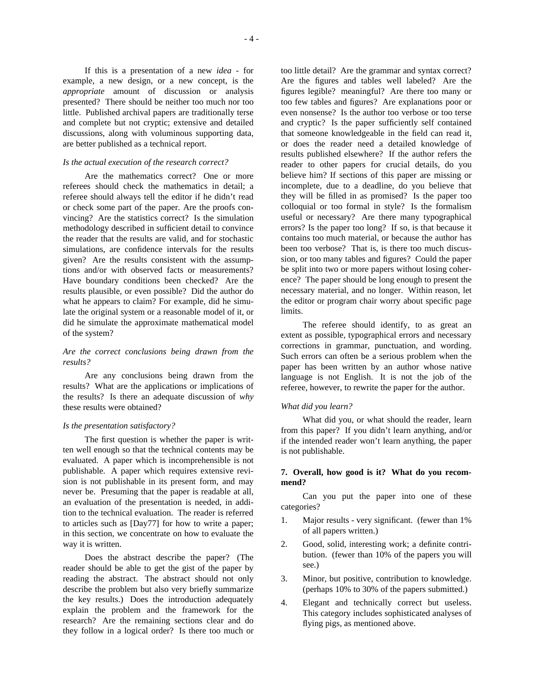If this is a presentation of a new *idea* - for example, a new design, or a new concept, is the *appropriate* amount of discussion or analysis presented? There should be neither too much nor too little. Published archival papers are traditionally terse and complete but not cryptic; extensive and detailed discussions, along with voluminous supporting data, are better published as a technical report.

# *Is the actual execution of the research correct?*

Are the mathematics correct? One or more referees should check the mathematics in detail; a referee should always tell the editor if he didn't read or check some part of the paper. Are the proofs convincing? Are the statistics correct? Is the simulation methodology described in sufficient detail to convince the reader that the results are valid, and for stochastic simulations, are confidence intervals for the results given? Are the results consistent with the assumptions and/or with observed facts or measurements? Have boundary conditions been checked? Are the results plausible, or even possible? Did the author do what he appears to claim? For example, did he simulate the original system or a reasonable model of it, or did he simulate the approximate mathematical model of the system?

# *Are the correct conclusions being drawn from the results?*

Are any conclusions being drawn from the results? What are the applications or implications of the results? Is there an adequate discussion of *why* these results were obtained?

## *Is the presentation satisfactory?*

The first question is whether the paper is written well enough so that the technical contents may be evaluated. A paper which is incomprehensible is not publishable. A paper which requires extensive revision is not publishable in its present form, and may never be. Presuming that the paper is readable at all, an evaluation of the presentation is needed, in addition to the technical evaluation. The reader is referred to articles such as [Day77] for how to write a paper; in this section, we concentrate on how to evaluate the way it is written.

Does the abstract describe the paper? (The reader should be able to get the gist of the paper by reading the abstract. The abstract should not only describe the problem but also very briefly summarize the key results.) Does the introduction adequately explain the problem and the framework for the research? Are the remaining sections clear and do they follow in a logical order? Is there too much or

too little detail? Are the grammar and syntax correct? Are the figures and tables well labeled? Are the figures legible? meaningful? Are there too many or too few tables and figures? Are explanations poor or even nonsense? Is the author too verbose or too terse and cryptic? Is the paper sufficiently self contained that someone knowledgeable in the field can read it, or does the reader need a detailed knowledge of results published elsewhere? If the author refers the reader to other papers for crucial details, do you believe him? If sections of this paper are missing or incomplete, due to a deadline, do you believe that they will be filled in as promised? Is the paper too colloquial or too formal in style? Is the formalism useful or necessary? Are there many typographical errors? Is the paper too long? If so, is that because it contains too much material, or because the author has been too verbose? That is, is there too much discussion, or too many tables and figures? Could the paper be split into two or more papers without losing coherence? The paper should be long enough to present the necessary material, and no longer. Within reason, let the editor or program chair worry about specific page limits.

The referee should identify, to as great an extent as possible, typographical errors and necessary corrections in grammar, punctuation, and wording. Such errors can often be a serious problem when the paper has been written by an author whose native language is not English. It is not the job of the referee, however, to rewrite the paper for the author.

## *What did you learn?*

What did you, or what should the reader, learn from this paper? If you didn't learn anything, and/or if the intended reader won't learn anything, the paper is not publishable.

# **7. Overall, how good is it? What do you recommend?**

Can you put the paper into one of these categories?

- 1. Major results very significant. (fewer than 1% of all papers written.)
- 2. Good, solid, interesting work; a definite contribution. (fewer than 10% of the papers you will see.)
- 3. Minor, but positive, contribution to knowledge. (perhaps 10% to 30% of the papers submitted.)
- 4. Elegant and technically correct but useless. This category includes sophisticated analyses of flying pigs, as mentioned above.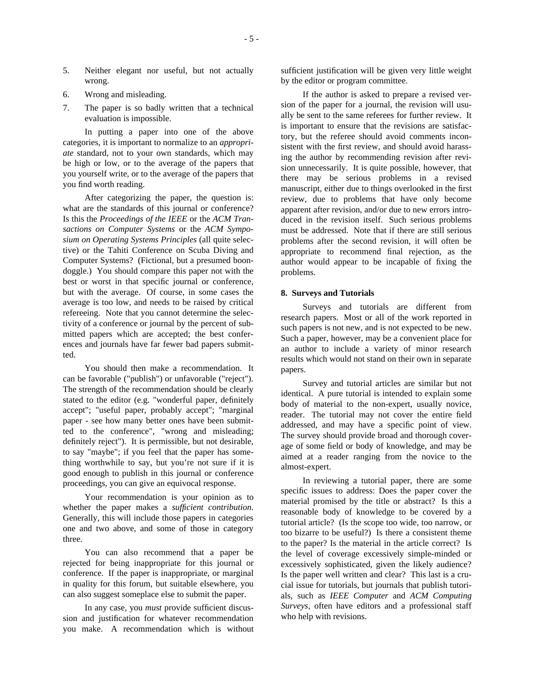- 5. Neither elegant nor useful, but not actually wrong.
- 6. Wrong and misleading.
- 7. The paper is so badly written that a technical evaluation is impossible.

In putting a paper into one of the above categories, it is important to normalize to an *appropriate* standard, not to your own standards, which may be high or low, or to the average of the papers that you yourself write, or to the average of the papers that you find worth reading.

After categorizing the paper, the question is: what are the standards of this journal or conference? Is this the *Proceedings of the IEEE* or the *ACM Transactions on Computer Systems* or the *ACM Symposium on Operating Systems Principles* (all quite selective) or the Tahiti Conference on Scuba Diving and Computer Systems? (Fictional, but a presumed boondoggle.) You should compare this paper not with the best or worst in that specific journal or conference, but with the average. Of course, in some cases the average is too low, and needs to be raised by critical refereeing. Note that you cannot determine the selectivity of a conference or journal by the percent of submitted papers which are accepted; the best conferences and journals have far fewer bad papers submitted.

You should then make a recommendation. It can be favorable ("publish") or unfavorable ("reject"). The strength of the recommendation should be clearly stated to the editor (e.g. "wonderful paper, definitely accept"; "useful paper, probably accept"; "marginal paper - see how many better ones have been submitted to the conference", "wrong and misleading; definitely reject"). It is permissible, but not desirable, to say "maybe"; if you feel that the paper has something worthwhile to say, but you're not sure if it is good enough to publish in this journal or conference proceedings, you can give an equivocal response.

Your recommendation is your opinion as to whether the paper makes a *sufficient contribution.* Generally, this will include those papers in categories one and two above, and some of those in category three.

You can also recommend that a paper be rejected for being inappropriate for this journal or conference. If the paper is inappropriate, or marginal in quality for this forum, but suitable elsewhere, you can also suggest someplace else to submit the paper.

In any case, you *must* provide sufficient discussion and justification for whatever recommendation you make. A recommendation which is without sufficient justification will be given very little weight by the editor or program committee.

If the author is asked to prepare a revised version of the paper for a journal, the revision will usually be sent to the same referees for further review. It is important to ensure that the revisions are satisfactory, but the referee should avoid comments inconsistent with the first review, and should avoid harassing the author by recommending revision after revision unnecessarily. It is quite possible, however, that there may be serious problems in a revised manuscript, either due to things overlooked in the first review, due to problems that have only become apparent after revision, and/or due to new errors introduced in the revision itself. Such serious problems must be addressed. Note that if there are still serious problems after the second revision, it will often be appropriate to recommend final rejection, as the author would appear to be incapable of fixing the problems.

# **8. Surveys and Tutorials**

Surveys and tutorials are different from research papers. Most or all of the work reported in such papers is not new, and is not expected to be new. Such a paper, however, may be a convenient place for an author to include a variety of minor research results which would not stand on their own in separate papers.

Survey and tutorial articles are similar but not identical. A pure tutorial is intended to explain some body of material to the non-expert, usually novice, reader. The tutorial may not cover the entire field addressed, and may have a specific point of view. The survey should provide broad and thorough coverage of some field or body of knowledge, and may be aimed at a reader ranging from the novice to the almost-expert.

In reviewing a tutorial paper, there are some specific issues to address: Does the paper cover the material promised by the title or abstract? Is this a reasonable body of knowledge to be covered by a tutorial article? (Is the scope too wide, too narrow, or too bizarre to be useful?) Is there a consistent theme to the paper? Is the material in the article correct? Is the level of coverage excessively simple-minded or excessively sophisticated, given the likely audience? Is the paper well written and clear? This last is a crucial issue for tutorials, but journals that publish tutorials, such as *IEEE Computer* and *ACM Computing Surveys*, often have editors and a professional staff who help with revisions.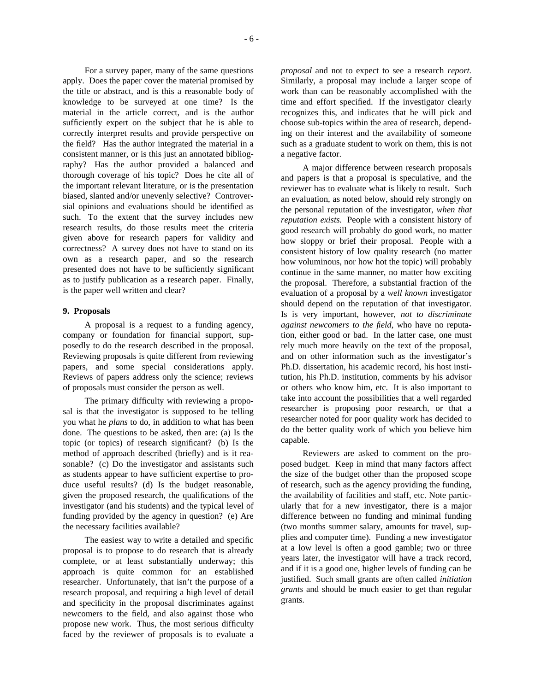For a survey paper, many of the same questions apply. Does the paper cover the material promised by the title or abstract, and is this a reasonable body of knowledge to be surveyed at one time? Is the material in the article correct, and is the author sufficiently expert on the subject that he is able to correctly interpret results and provide perspective on the field? Has the author integrated the material in a consistent manner, or is this just an annotated bibliography? Has the author provided a balanced and thorough coverage of his topic? Does he cite all of

the important relevant literature, or is the presentation biased, slanted and/or unevenly selective? Controversial opinions and evaluations should be identified as such. To the extent that the survey includes new research results, do those results meet the criteria given above for research papers for validity and correctness? A survey does not have to stand on its own as a research paper, and so the research presented does not have to be sufficiently significant as to justify publication as a research paper. Finally, is the paper well written and clear?

## **9. Proposals**

A proposal is a request to a funding agency, company or foundation for financial support, supposedly to do the research described in the proposal. Reviewing proposals is quite different from reviewing papers, and some special considerations apply. Reviews of papers address only the science; reviews of proposals must consider the person as well.

The primary difficulty with reviewing a proposal is that the investigator is supposed to be telling you what he *plans* to do, in addition to what has been done. The questions to be asked, then are: (a) Is the topic (or topics) of research significant? (b) Is the method of approach described (briefly) and is it reasonable? (c) Do the investigator and assistants such as students appear to have sufficient expertise to produce useful results? (d) Is the budget reasonable, given the proposed research, the qualifications of the investigator (and his students) and the typical level of funding provided by the agency in question? (e) Are the necessary facilities available?

The easiest way to write a detailed and specific proposal is to propose to do research that is already complete, or at least substantially underway; this approach is quite common for an established researcher. Unfortunately, that isn't the purpose of a research proposal, and requiring a high level of detail and specificity in the proposal discriminates against newcomers to the field, and also against those who propose new work. Thus, the most serious difficulty faced by the reviewer of proposals is to evaluate a *proposal* and not to expect to see a research *report.* Similarly, a proposal may include a larger scope of work than can be reasonably accomplished with the time and effort specified. If the investigator clearly recognizes this, and indicates that he will pick and choose sub-topics within the area of research, depending on their interest and the availability of someone such as a graduate student to work on them, this is not a negative factor.

A major difference between research proposals and papers is that a proposal is speculative, and the reviewer has to evaluate what is likely to result. Such an evaluation, as noted below, should rely strongly on the personal reputation of the investigator, *when that reputation exists.* People with a consistent history of good research will probably do good work, no matter how sloppy or brief their proposal. People with a consistent history of low quality research (no matter how voluminous, nor how hot the topic) will probably continue in the same manner, no matter how exciting the proposal. Therefore, a substantial fraction of the evaluation of a proposal by a *well known* investigator should depend on the reputation of that investigator. Is is very important, however, *not to discriminate against newcomers to the field*, who have no reputation, either good or bad. In the latter case, one must rely much more heavily on the text of the proposal, and on other information such as the investigator's Ph.D. dissertation, his academic record, his host institution, his Ph.D. institution, comments by his advisor or others who know him, etc. It is also important to take into account the possibilities that a well regarded researcher is proposing poor research, or that a researcher noted for poor quality work has decided to do the better quality work of which you believe him capable.

Reviewers are asked to comment on the proposed budget. Keep in mind that many factors affect the size of the budget other than the proposed scope of research, such as the agency providing the funding, the availability of facilities and staff, etc. Note particularly that for a new investigator, there is a major difference between no funding and minimal funding (two months summer salary, amounts for travel, supplies and computer time). Funding a new investigator at a low level is often a good gamble; two or three years later, the investigator will have a track record, and if it is a good one, higher levels of funding can be justified. Such small grants are often called *initiation grants* and should be much easier to get than regular grants.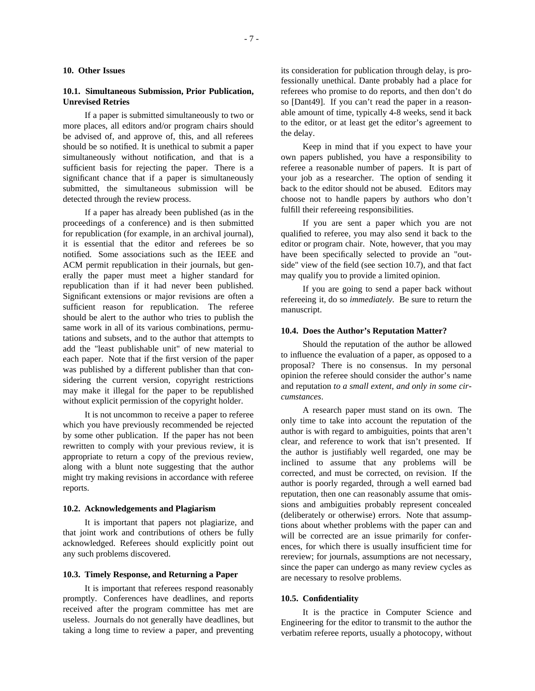## **10.1. Simultaneous Submission, Prior Publication, Unrevised Retries**

If a paper is submitted simultaneously to two or more places, all editors and/or program chairs should be advised of, and approve of, this, and all referees should be so notified. It is unethical to submit a paper simultaneously without notification, and that is a sufficient basis for rejecting the paper. There is a significant chance that if a paper is simultaneously submitted, the simultaneous submission will be detected through the review process.

If a paper has already been published (as in the proceedings of a conference) and is then submitted for republication (for example, in an archival journal), it is essential that the editor and referees be so notified. Some associations such as the IEEE and ACM permit republication in their journals, but generally the paper must meet a higher standard for republication than if it had never been published. Significant extensions or major revisions are often a sufficient reason for republication. The referee should be alert to the author who tries to publish the same work in all of its various combinations, permutations and subsets, and to the author that attempts to add the "least publishable unit" of new material to each paper. Note that if the first version of the paper was published by a different publisher than that considering the current version, copyright restrictions may make it illegal for the paper to be republished without explicit permission of the copyright holder.

It is not uncommon to receive a paper to referee which you have previously recommended be rejected by some other publication. If the paper has not been rewritten to comply with your previous review, it is appropriate to return a copy of the previous review, along with a blunt note suggesting that the author might try making revisions in accordance with referee reports.

## **10.2. Acknowledgements and Plagiarism**

It is important that papers not plagiarize, and that joint work and contributions of others be fully acknowledged. Referees should explicitly point out any such problems discovered.

## **10.3. Timely Response, and Returning a Paper**

It is important that referees respond reasonably promptly. Conferences have deadlines, and reports received after the program committee has met are useless. Journals do not generally have deadlines, but taking a long time to review a paper, and preventing its consideration for publication through delay, is professionally unethical. Dante probably had a place for referees who promise to do reports, and then don't do so [Dant49]. If you can't read the paper in a reasonable amount of time, typically 4-8 weeks, send it back to the editor, or at least get the editor's agreement to the delay.

Keep in mind that if you expect to have your own papers published, you have a responsibility to referee a reasonable number of papers. It is part of your job as a researcher. The option of sending it back to the editor should not be abused. Editors may choose not to handle papers by authors who don't fulfill their refereeing responsibilities.

If you are sent a paper which you are not qualified to referee, you may also send it back to the editor or program chair. Note, however, that you may have been specifically selected to provide an "outside" view of the field (see section 10.7), and that fact may qualify you to provide a limited opinion.

If you are going to send a paper back without refereeing it, do so *immediately.* Be sure to return the manuscript.

#### **10.4. Does the Author's Reputation Matter?**

Should the reputation of the author be allowed to influence the evaluation of a paper, as opposed to a proposal? There is no consensus. In my personal opinion the referee should consider the author's name and reputation *to a small extent, and only in some circumstances*.

A research paper must stand on its own. The only time to take into account the reputation of the author is with regard to ambiguities, points that aren't clear, and reference to work that isn't presented. If the author is justifiably well regarded, one may be inclined to assume that any problems will be corrected, and must be corrected, on revision. If the author is poorly regarded, through a well earned bad reputation, then one can reasonably assume that omissions and ambiguities probably represent concealed (deliberately or otherwise) errors. Note that assumptions about whether problems with the paper can and will be corrected are an issue primarily for conferences, for which there is usually insufficient time for rereview; for journals, assumptions are not necessary, since the paper can undergo as many review cycles as are necessary to resolve problems.

## **10.5. Confidentiality**

It is the practice in Computer Science and Engineering for the editor to transmit to the author the verbatim referee reports, usually a photocopy, without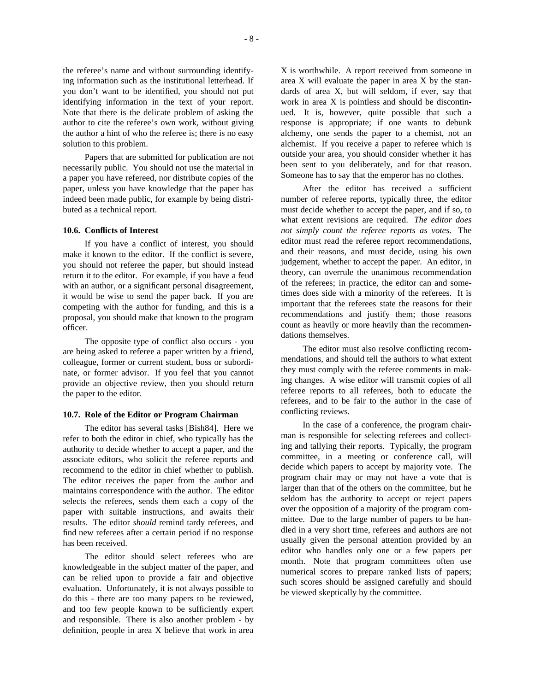the referee's name and without surrounding identifying information such as the institutional letterhead. If you don't want to be identified, you should not put identifying information in the text of your report. Note that there is the delicate problem of asking the author to cite the referee's own work, without giving the author a hint of who the referee is; there is no easy solution to this problem.

Papers that are submitted for publication are not necessarily public. You should not use the material in a paper you have refereed, nor distribute copies of the paper, unless you have knowledge that the paper has indeed been made public, for example by being distributed as a technical report.

## **10.6. Conflicts of Interest**

If you have a conflict of interest, you should make it known to the editor. If the conflict is severe, you should not referee the paper, but should instead return it to the editor. For example, if you have a feud with an author, or a significant personal disagreement, it would be wise to send the paper back. If you are competing with the author for funding, and this is a proposal, you should make that known to the program officer.

The opposite type of conflict also occurs - you are being asked to referee a paper written by a friend, colleague, former or current student, boss or subordinate, or former advisor. If you feel that you cannot provide an objective review, then you should return the paper to the editor.

## **10.7. Role of the Editor or Program Chairman**

The editor has several tasks [Bish84]. Here we refer to both the editor in chief, who typically has the authority to decide whether to accept a paper, and the associate editors, who solicit the referee reports and recommend to the editor in chief whether to publish. The editor receives the paper from the author and maintains correspondence with the author. The editor selects the referees, sends them each a copy of the paper with suitable instructions, and awaits their results. The editor *should* remind tardy referees, and find new referees after a certain period if no response has been received.

The editor should select referees who are knowledgeable in the subject matter of the paper, and can be relied upon to provide a fair and objective evaluation. Unfortunately, it is not always possible to do this - there are too many papers to be reviewed, and too few people known to be sufficiently expert and responsible. There is also another problem - by definition, people in area X believe that work in area X is worthwhile. A report received from someone in area X will evaluate the paper in area X by the standards of area X, but will seldom, if ever, say that work in area X is pointless and should be discontinued. It is, however, quite possible that such a response is appropriate; if one wants to debunk alchemy, one sends the paper to a chemist, not an alchemist. If you receive a paper to referee which is outside your area, you should consider whether it has been sent to you deliberately, and for that reason. Someone has to say that the emperor has no clothes.

After the editor has received a sufficient number of referee reports, typically three, the editor must decide whether to accept the paper, and if so, to what extent revisions are required. *The editor does not simply count the referee reports as votes.* The editor must read the referee report recommendations, and their reasons, and must decide, using his own judgement, whether to accept the paper. An editor, in theory, can overrule the unanimous recommendation of the referees; in practice, the editor can and sometimes does side with a minority of the referees. It is important that the referees state the reasons for their recommendations and justify them; those reasons count as heavily or more heavily than the recommendations themselves.

The editor must also resolve conflicting recommendations, and should tell the authors to what extent they must comply with the referee comments in making changes. A wise editor will transmit copies of all referee reports to all referees, both to educate the referees, and to be fair to the author in the case of conflicting reviews.

In the case of a conference, the program chairman is responsible for selecting referees and collecting and tallying their reports. Typically, the program committee, in a meeting or conference call, will decide which papers to accept by majority vote. The program chair may or may not have a vote that is larger than that of the others on the committee, but he seldom has the authority to accept or reject papers over the opposition of a majority of the program committee. Due to the large number of papers to be handled in a very short time, referees and authors are not usually given the personal attention provided by an editor who handles only one or a few papers per month. Note that program committees often use numerical scores to prepare ranked lists of papers; such scores should be assigned carefully and should be viewed skeptically by the committee.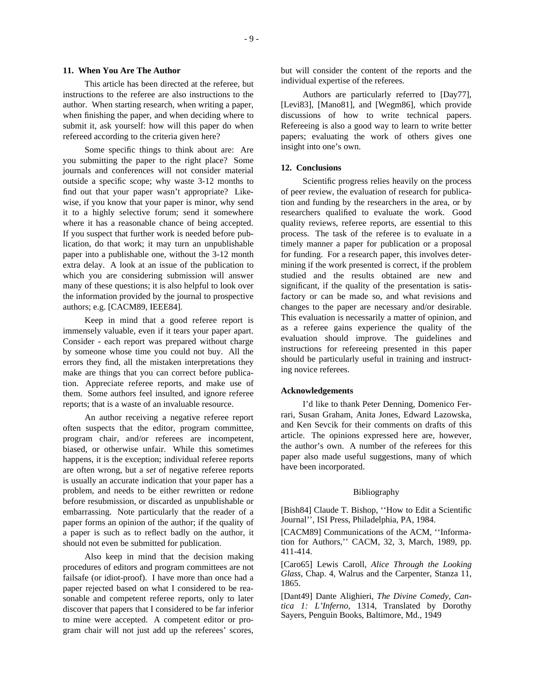## **11. When You Are The Author**

This article has been directed at the referee, but instructions to the referee are also instructions to the author. When starting research, when writing a paper, when finishing the paper, and when deciding where to submit it, ask yourself: how will this paper do when refereed according to the criteria given here?

Some specific things to think about are: Are you submitting the paper to the right place? Some journals and conferences will not consider material outside a specific scope; why waste 3-12 months to find out that your paper wasn't appropriate? Likewise, if you know that your paper is minor, why send it to a highly selective forum; send it somewhere where it has a reasonable chance of being accepted. If you suspect that further work is needed before publication, do that work; it may turn an unpublishable paper into a publishable one, without the 3-12 month extra delay. A look at an issue of the publication to which you are considering submission will answer many of these questions; it is also helpful to look over the information provided by the journal to prospective authors; e.g. [CACM89, IEEE84].

Keep in mind that a good referee report is immensely valuable, even if it tears your paper apart. Consider - each report was prepared without charge by someone whose time you could not buy. All the errors they find, all the mistaken interpretations they make are things that you can correct before publication. Appreciate referee reports, and make use of them. Some authors feel insulted, and ignore referee reports; that is a waste of an invaluable resource.

An author receiving a negative referee report often suspects that the editor, program committee, program chair, and/or referees are incompetent, biased, or otherwise unfair. While this sometimes happens, it is the exception; individual referee reports are often wrong, but a *set* of negative referee reports is usually an accurate indication that your paper has a problem, and needs to be either rewritten or redone before resubmission, or discarded as unpublishable or embarrassing. Note particularly that the reader of a paper forms an opinion of the author; if the quality of a paper is such as to reflect badly on the author, it should not even be submitted for publication.

Also keep in mind that the decision making procedures of editors and program committees are not failsafe (or idiot-proof). I have more than once had a paper rejected based on what I considered to be reasonable and competent referee reports, only to later discover that papers that I considered to be far inferior to mine were accepted. A competent editor or program chair will not just add up the referees' scores, but will consider the content of the reports and the individual expertise of the referees.

Authors are particularly referred to [Day77], [Levi83], [Mano81], and [Wegm86], which provide discussions of how to write technical papers. Refereeing is also a good way to learn to write better papers; evaluating the work of others gives one insight into one's own.

## **12. Conclusions**

Scientific progress relies heavily on the process of peer review, the evaluation of research for publication and funding by the researchers in the area, or by researchers qualified to evaluate the work. Good quality reviews, referee reports, are essential to this process. The task of the referee is to evaluate in a timely manner a paper for publication or a proposal for funding. For a research paper, this involves determining if the work presented is correct, if the problem studied and the results obtained are new and significant, if the quality of the presentation is satisfactory or can be made so, and what revisions and changes to the paper are necessary and/or desirable. This evaluation is necessarily a matter of opinion, and as a referee gains experience the quality of the evaluation should improve. The guidelines and instructions for refereeing presented in this paper should be particularly useful in training and instructing novice referees.

## **Acknowledgements**

I'd like to thank Peter Denning, Domenico Ferrari, Susan Graham, Anita Jones, Edward Lazowska, and Ken Sevcik for their comments on drafts of this article. The opinions expressed here are, however, the author's own. A number of the referees for this paper also made useful suggestions, many of which have been incorporated.

#### Bibliography

[Bish84] Claude T. Bishop, ''How to Edit a Scientific Journal'', ISI Press, Philadelphia, PA, 1984.

[CACM89] Communications of the ACM, ''Information for Authors,'' CACM, 32, 3, March, 1989, pp. 411-414.

[Caro65] Lewis Caroll, *Alice Through the Looking Glass*, Chap. 4, Walrus and the Carpenter, Stanza 11, 1865.

[Dant49] Dante Alighieri, *The Divine Comedy, Cantica 1: L'Inferno*, 1314, Translated by Dorothy Sayers, Penguin Books, Baltimore, Md., 1949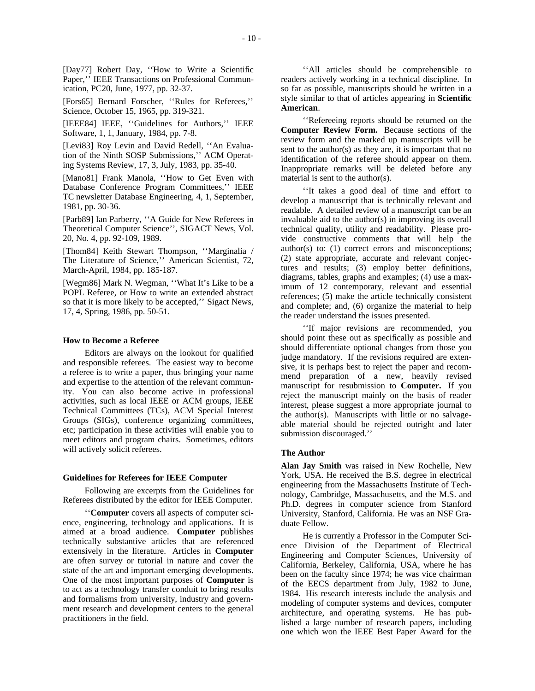[Day77] Robert Day, ''How to Write a Scientific Paper,'' IEEE Transactions on Professional Communication, PC20, June, 1977, pp. 32-37.

[Fors65] Bernard Forscher, ''Rules for Referees,'' Science, October 15, 1965, pp. 319-321.

[IEEE84] IEEE, ''Guidelines for Authors,'' IEEE Software, 1, 1, January, 1984, pp. 7-8.

[Levi83] Roy Levin and David Redell, ''An Evaluation of the Ninth SOSP Submissions,'' ACM Operating Systems Review, 17, 3, July, 1983, pp. 35-40.

[Mano81] Frank Manola, ''How to Get Even with Database Conference Program Committees,'' IEEE TC newsletter Database Engineering, 4, 1, September, 1981, pp. 30-36.

[Parb89] Ian Parberry, ''A Guide for New Referees in Theoretical Computer Science'', SIGACT News, Vol. 20, No. 4, pp. 92-109, 1989.

[Thom84] Keith Stewart Thompson, ''Marginalia / The Literature of Science,'' American Scientist, 72, March-April, 1984, pp. 185-187.

[Wegm86] Mark N. Wegman, ''What It's Like to be a POPL Referee, or How to write an extended abstract so that it is more likely to be accepted,'' Sigact News, 17, 4, Spring, 1986, pp. 50-51.

## **How to Become a Referee**

Editors are always on the lookout for qualified and responsible referees. The easiest way to become a referee is to write a paper, thus bringing your name and expertise to the attention of the relevant community. You can also become active in professional activities, such as local IEEE or ACM groups, IEEE Technical Committees (TCs), ACM Special Interest Groups (SIGs), conference organizing committees, etc; participation in these activities will enable you to meet editors and program chairs. Sometimes, editors will actively solicit referees.

#### **Guidelines for Referees for IEEE Computer**

Following are excerpts from the Guidelines for Referees distributed by the editor for IEEE Computer.

''**Computer** covers all aspects of computer science, engineering, technology and applications. It is aimed at a broad audience. **Computer** publishes technically substantive articles that are referenced extensively in the literature. Articles in **Computer** are often survey or tutorial in nature and cover the state of the art and important emerging developments. One of the most important purposes of **Computer** is to act as a technology transfer conduit to bring results and formalisms from university, industry and government research and development centers to the general practitioners in the field.

''All articles should be comprehensible to readers actively working in a technical discipline. In so far as possible, manuscripts should be written in a style similar to that of articles appearing in **Scientific American**.

''Refereeing reports should be returned on the **Computer Review Form.** Because sections of the review form and the marked up manuscripts will be sent to the author(s) as they are, it is important that no identification of the referee should appear on them. Inappropriate remarks will be deleted before any material is sent to the author(s).

''It takes a good deal of time and effort to develop a manuscript that is technically relevant and readable. A detailed review of a manuscript can be an invaluable aid to the author(s) in improving its overall technical quality, utility and readability. Please provide constructive comments that will help the author(s) to: (1) correct errors and misconceptions; (2) state appropriate, accurate and relevant conjectures and results; (3) employ better definitions, diagrams, tables, graphs and examples; (4) use a maximum of 12 contemporary, relevant and essential references; (5) make the article technically consistent and complete; and, (6) organize the material to help the reader understand the issues presented.

''If major revisions are recommended, you should point these out as specifically as possible and should differentiate optional changes from those you judge mandatory. If the revisions required are extensive, it is perhaps best to reject the paper and recommend preparation of a new, heavily revised manuscript for resubmission to **Computer.** If you reject the manuscript mainly on the basis of reader interest, please suggest a more appropriate journal to the author(s). Manuscripts with little or no salvageable material should be rejected outright and later submission discouraged.''

## **The Author**

**Alan Jay Smith** was raised in New Rochelle, New York, USA. He received the B.S. degree in electrical engineering from the Massachusetts Institute of Technology, Cambridge, Massachusetts, and the M.S. and Ph.D. degrees in computer science from Stanford University, Stanford, California. He was an NSF Graduate Fellow.

He is currently a Professor in the Computer Science Division of the Department of Electrical Engineering and Computer Sciences, University of California, Berkeley, California, USA, where he has been on the faculty since 1974; he was vice chairman of the EECS department from July, 1982 to June, 1984. His research interests include the analysis and modeling of computer systems and devices, computer architecture, and operating systems. He has published a large number of research papers, including one which won the IEEE Best Paper Award for the